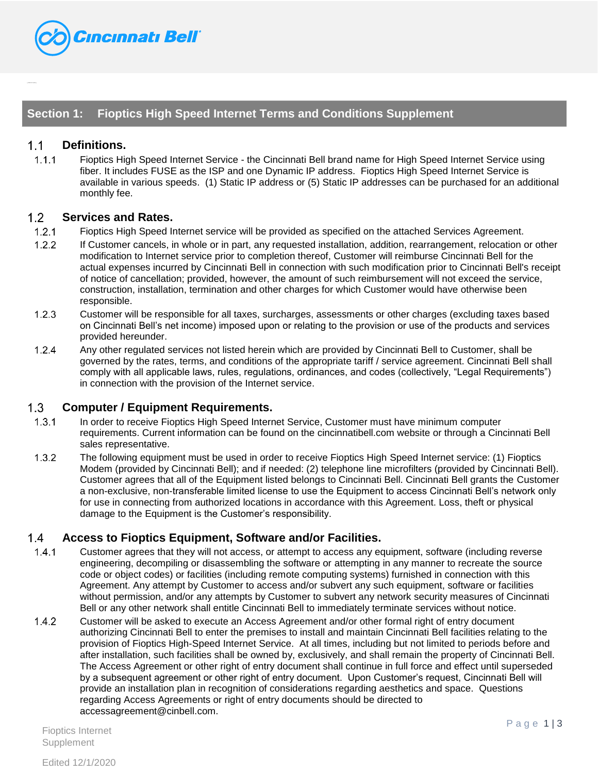

## **Section 1: Fioptics High Speed Internet Terms and Conditions Supplement**

### $1.1$ **Definitions.**

{{TableHi de:Fioptics}}

 $1.1.1$ Fioptics High Speed Internet Service - the Cincinnati Bell brand name for High Speed Internet Service using fiber. It includes FUSE as the ISP and one Dynamic IP address. Fioptics High Speed Internet Service is available in various speeds. (1) Static IP address or (5) Static IP addresses can be purchased for an additional monthly fee.

#### $1.2$ **Services and Rates.**

- $1.2.1$ Fioptics High Speed Internet service will be provided as specified on the attached Services Agreement.
- $1.2.2$ If Customer cancels, in whole or in part, any requested installation, addition, rearrangement, relocation or other modification to Internet service prior to completion thereof, Customer will reimburse Cincinnati Bell for the actual expenses incurred by Cincinnati Bell in connection with such modification prior to Cincinnati Bell's receipt of notice of cancellation; provided, however, the amount of such reimbursement will not exceed the service, construction, installation, termination and other charges for which Customer would have otherwise been responsible.
- $1.2.3$ Customer will be responsible for all taxes, surcharges, assessments or other charges (excluding taxes based on Cincinnati Bell's net income) imposed upon or relating to the provision or use of the products and services provided hereunder.
- $1.2.4$ Any other regulated services not listed herein which are provided by Cincinnati Bell to Customer, shall be governed by the rates, terms, and conditions of the appropriate tariff / service agreement. Cincinnati Bell shall comply with all applicable laws, rules, regulations, ordinances, and codes (collectively, "Legal Requirements") in connection with the provision of the Internet service.

#### $1.3$ **Computer / Equipment Requirements.**

- $1.3.1$ In order to receive Fioptics High Speed Internet Service, Customer must have minimum computer requirements. Current information can be found on the cincinnatibell.com website or through a Cincinnati Bell sales representative.
- $1.3.2$ The following equipment must be used in order to receive Fioptics High Speed Internet service: (1) Fioptics Modem (provided by Cincinnati Bell); and if needed: (2) telephone line microfilters (provided by Cincinnati Bell). Customer agrees that all of the Equipment listed belongs to Cincinnati Bell. Cincinnati Bell grants the Customer a non-exclusive, non-transferable limited license to use the Equipment to access Cincinnati Bell's network only for use in connecting from authorized locations in accordance with this Agreement. Loss, theft or physical damage to the Equipment is the Customer's responsibility.

#### $1.4$ **Access to Fioptics Equipment, Software and/or Facilities.**

- $1.4.1$ Customer agrees that they will not access, or attempt to access any equipment, software (including reverse engineering, decompiling or disassembling the software or attempting in any manner to recreate the source code or object codes) or facilities (including remote computing systems) furnished in connection with this Agreement. Any attempt by Customer to access and/or subvert any such equipment, software or facilities without permission, and/or any attempts by Customer to subvert any network security measures of Cincinnati Bell or any other network shall entitle Cincinnati Bell to immediately terminate services without notice.
- $1.4.2$ Customer will be asked to execute an Access Agreement and/or other formal right of entry document authorizing Cincinnati Bell to enter the premises to install and maintain Cincinnati Bell facilities relating to the provision of Fioptics High-Speed Internet Service. At all times, including but not limited to periods before and after installation, such facilities shall be owned by, exclusively, and shall remain the property of Cincinnati Bell. The Access Agreement or other right of entry document shall continue in full force and effect until superseded by a subsequent agreement or other right of entry document. Upon Customer's request, Cincinnati Bell will provide an installation plan in recognition of considerations regarding aesthetics and space. Questions regarding Access Agreements or right of entry documents should be directed to accessagreement@cinbell.com.

Fioptics Internet **Supplement**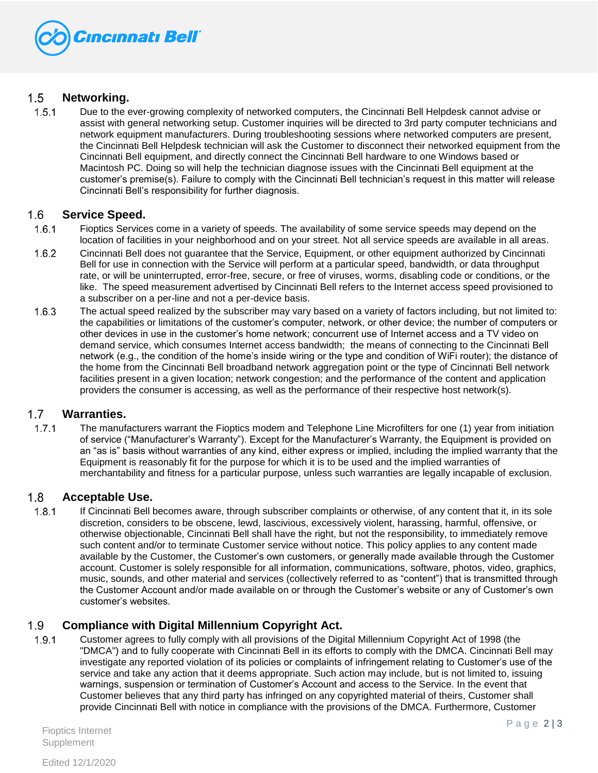

### $1.5$ **Networking.**

 $1.5.1$ Due to the ever-growing complexity of networked computers, the Cincinnati Bell Helpdesk cannot advise or assist with general networking setup. Customer inquiries will be directed to 3rd party computer technicians and network equipment manufacturers. During troubleshooting sessions where networked computers are present, the Cincinnati Bell Helpdesk technician will ask the Customer to disconnect their networked equipment from the Cincinnati Bell equipment, and directly connect the Cincinnati Bell hardware to one Windows based or Macintosh PC. Doing so will help the technician diagnose issues with the Cincinnati Bell equipment at the customer's premise(s). Failure to comply with the Cincinnati Bell technician's request in this matter will release Cincinnati Bell's responsibility for further diagnosis.

#### 1.6 **Service Speed.**

- $1.6.1$ Fioptics Services come in a variety of speeds. The availability of some service speeds may depend on the location of facilities in your neighborhood and on your street. Not all service speeds are available in all areas.
- $1.6.2$ Cincinnati Bell does not guarantee that the Service, Equipment, or other equipment authorized by Cincinnati Bell for use in connection with the Service will perform at a particular speed, bandwidth, or data throughput rate, or will be uninterrupted, error-free, secure, or free of viruses, worms, disabling code or conditions, or the like. The speed measurement advertised by Cincinnati Bell refers to the Internet access speed provisioned to a subscriber on a per-line and not a per-device basis.
- $1.6.3$ The actual speed realized by the subscriber may vary based on a variety of factors including, but not limited to: the capabilities or limitations of the customer's computer, network, or other device; the number of computers or other devices in use in the customer's home network; concurrent use of Internet access and a TV video on demand service, which consumes Internet access bandwidth; the means of connecting to the Cincinnati Bell network (e.g., the condition of the home's inside wiring or the type and condition of WiFi router); the distance of the home from the Cincinnati Bell broadband network aggregation point or the type of Cincinnati Bell network facilities present in a given location; network congestion; and the performance of the content and application providers the consumer is accessing, as well as the performance of their respective host network(s).

### $1.7$ **Warranties.**

 $1.7.1$ The manufacturers warrant the Fioptics modem and Telephone Line Microfilters for one (1) year from initiation of service ("Manufacturer's Warranty"). Except for the Manufacturer's Warranty, the Equipment is provided on an "as is" basis without warranties of any kind, either express or implied, including the implied warranty that the Equipment is reasonably fit for the purpose for which it is to be used and the implied warranties of merchantability and fitness for a particular purpose, unless such warranties are legally incapable of exclusion.

### $1.8$ **Acceptable Use.**

 $1.8.1$ If Cincinnati Bell becomes aware, through subscriber complaints or otherwise, of any content that it, in its sole discretion, considers to be obscene, lewd, lascivious, excessively violent, harassing, harmful, offensive, or otherwise objectionable, Cincinnati Bell shall have the right, but not the responsibility, to immediately remove such content and/or to terminate Customer service without notice. This policy applies to any content made available by the Customer, the Customer's own customers, or generally made available through the Customer account. Customer is solely responsible for all information, communications, software, photos, video, graphics, music, sounds, and other material and services (collectively referred to as "content") that is transmitted through the Customer Account and/or made available on or through the Customer's website or any of Customer's own customer's websites.

### $1.9$ **Compliance with Digital Millennium Copyright Act.**

 $1.9.1$ Customer agrees to fully comply with all provisions of the Digital Millennium Copyright Act of 1998 (the "DMCA") and to fully cooperate with Cincinnati Bell in its efforts to comply with the DMCA. Cincinnati Bell may investigate any reported violation of its policies or complaints of infringement relating to Customer's use of the service and take any action that it deems appropriate. Such action may include, but is not limited to, issuing warnings, suspension or termination of Customer's Account and access to the Service. In the event that Customer believes that any third party has infringed on any copyrighted material of theirs, Customer shall provide Cincinnati Bell with notice in compliance with the provisions of the DMCA. Furthermore, Customer

Fioptics Internet **Supplement**